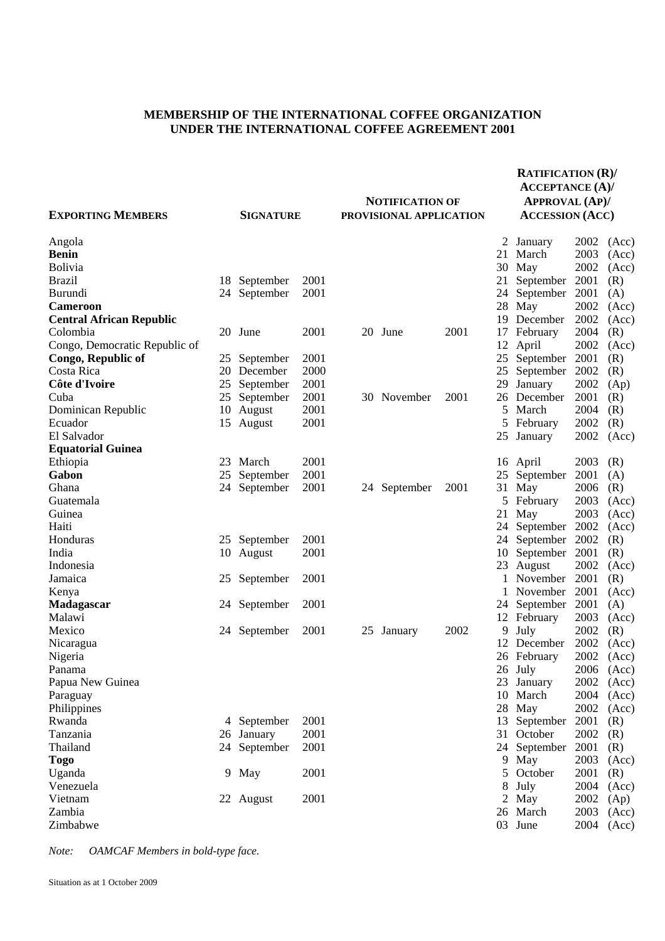## **MEMBERSHIP OF THE INTERNATIONAL COFFEE ORGANIZATION UNDER THE INTERNATIONAL COFFEE AGREEMENT 2001**

|                                 |     |                  |      |                                                   |              |      | <b>RATIFICATION (R)/</b><br><b>ACCEPTANCE (A)/</b> |                  |              |                |
|---------------------------------|-----|------------------|------|---------------------------------------------------|--------------|------|----------------------------------------------------|------------------|--------------|----------------|
| <b>EXPORTING MEMBERS</b>        |     | <b>SIGNATURE</b> |      | <b>NOTIFICATION OF</b><br>PROVISIONAL APPLICATION |              |      | <b>APPROVAL (AP)/</b><br><b>ACCESSION (ACC)</b>    |                  |              |                |
|                                 |     |                  |      |                                                   |              |      |                                                    |                  |              |                |
| Angola<br><b>Benin</b>          |     |                  |      |                                                   |              |      | 2<br>21                                            | January<br>March | 2002<br>2003 | (Acc)<br>(Acc) |
| <b>Bolivia</b>                  |     |                  |      |                                                   |              |      | 30                                                 | May              | 2002         | (Acc)          |
| <b>Brazil</b>                   | 18  | September        | 2001 |                                                   |              |      | 21                                                 | September        | 2001         | (R)            |
| <b>Burundi</b>                  | 24  | September        | 2001 |                                                   |              |      | 24                                                 | September        | 2001         | (A)            |
| <b>Cameroon</b>                 |     |                  |      |                                                   |              |      | 28                                                 | May              | 2002         | (Acc)          |
| <b>Central African Republic</b> |     |                  |      |                                                   |              |      | 19                                                 | December         | 2002         | (Acc)          |
| Colombia                        |     | 20 June          | 2001 |                                                   | 20 June      | 2001 | 17                                                 | February         | 2004         | (R)            |
| Congo, Democratic Republic of   |     |                  |      |                                                   |              |      | 12                                                 | April            | 2002         | (Acc)          |
| Congo, Republic of              | 25  | September        | 2001 |                                                   |              |      | 25                                                 | September        | 2001         | (R)            |
| Costa Rica                      | 20  | December         | 2000 |                                                   |              |      |                                                    | 25 September     | 2002         | (R)            |
| Côte d'Ivoire                   | 25  | September        | 2001 |                                                   |              |      | 29                                                 | January          | 2002         | (Ap)           |
| Cuba                            | 25  | September        | 2001 | 30                                                | November     | 2001 | 26                                                 | December         | 2001         | (R)            |
| Dominican Republic              | 10  | August           | 2001 |                                                   |              |      | 5.                                                 | March            | 2004         | (R)            |
| Ecuador                         | 15  | August           | 2001 |                                                   |              |      | 5                                                  | February         | 2002         | (R)            |
| El Salvador                     |     |                  |      |                                                   |              |      | 25                                                 | January          | 2002         | (Acc)          |
| <b>Equatorial Guinea</b>        |     |                  |      |                                                   |              |      |                                                    |                  |              |                |
| Ethiopia                        | 23  | March            | 2001 |                                                   |              |      |                                                    | 16 April         | 2003         | (R)            |
| Gabon                           | 25  | September        | 2001 |                                                   |              |      | 25                                                 | September        | 2001         | (A)            |
| Ghana                           | 24  | September        | 2001 |                                                   | 24 September | 2001 | 31                                                 | May              | 2006         | (R)            |
| Guatemala                       |     |                  |      |                                                   |              |      | 5                                                  | February         | 2003         | (Acc)          |
| Guinea                          |     |                  |      |                                                   |              |      | 21                                                 | May              | 2003         | (Acc)          |
| Haiti                           |     |                  |      |                                                   |              |      |                                                    | 24 September     | 2002         | (Acc)          |
| Honduras                        | 25  | September        | 2001 |                                                   |              |      |                                                    | 24 September     | 2002         | (R)            |
| India                           | 10  | August           | 2001 |                                                   |              |      | 10                                                 | September        | 2001         | (R)            |
| Indonesia                       |     |                  |      |                                                   |              |      | 23                                                 | August           | 2002         | (Acc)          |
| Jamaica                         | 25  | September        | 2001 |                                                   |              |      | $\mathbf{1}$                                       | November         | 2001         | (R)            |
| Kenya                           |     |                  |      |                                                   |              |      | 1                                                  | November         | 2001         | (Acc)          |
| <b>Madagascar</b>               | 24. | September        | 2001 |                                                   |              |      |                                                    | 24 September     | 2001         | (A)            |
| Malawi                          |     |                  |      |                                                   |              |      |                                                    | 12 February      | 2003         | (Acc)          |
| Mexico                          | 24  | September        | 2001 | 25                                                | January      | 2002 | 9                                                  | July             | 2002         | (R)            |
| Nicaragua                       |     |                  |      |                                                   |              |      | 12                                                 | December         | 2002         | (Acc)          |
| Nigeria                         |     |                  |      |                                                   |              |      |                                                    | 26 February      | 2002         | (Acc)          |
| Panama                          |     |                  |      |                                                   |              |      |                                                    | 26 July          | 2006         | (Acc)          |
| Papua New Guinea                |     |                  |      |                                                   |              |      |                                                    | 23 January       | 2002         | (Acc)          |
| Paraguay                        |     |                  |      |                                                   |              |      |                                                    | 10 March         | 2004         | (Acc)          |
| Philippines                     |     |                  |      |                                                   |              |      |                                                    | 28 May           | 2002         | (Acc)          |
| Rwanda                          |     | 4 September      | 2001 |                                                   |              |      |                                                    | 13 September     | 2001         | (R)            |
| Tanzania                        |     | 26 January       | 2001 |                                                   |              |      |                                                    | 31 October       | 2002         | (R)            |
| Thailand                        |     | 24 September     | 2001 |                                                   |              |      |                                                    | 24 September     | 2001         | (R)            |
| Togo                            |     |                  |      |                                                   |              |      |                                                    | 9 May            | 2003         | (Acc)          |
| Uganda                          |     | 9 May            | 2001 |                                                   |              |      |                                                    | 5 October        | 2001         | (R)            |
| Venezuela                       |     |                  |      |                                                   |              |      | 8                                                  | July             | 2004         | (Acc)          |
| Vietnam                         |     | 22 August        | 2001 |                                                   |              |      | $\overline{2}$                                     | May              | 2002         | (Ap)           |
| Zambia                          |     |                  |      |                                                   |              |      |                                                    | 26 March         | 2003         | (Acc)          |
| Zimbabwe                        |     |                  |      |                                                   |              |      |                                                    | 03 June          | 2004         | (Acc)          |

*Note: OAMCAF Members in bold-type face.*